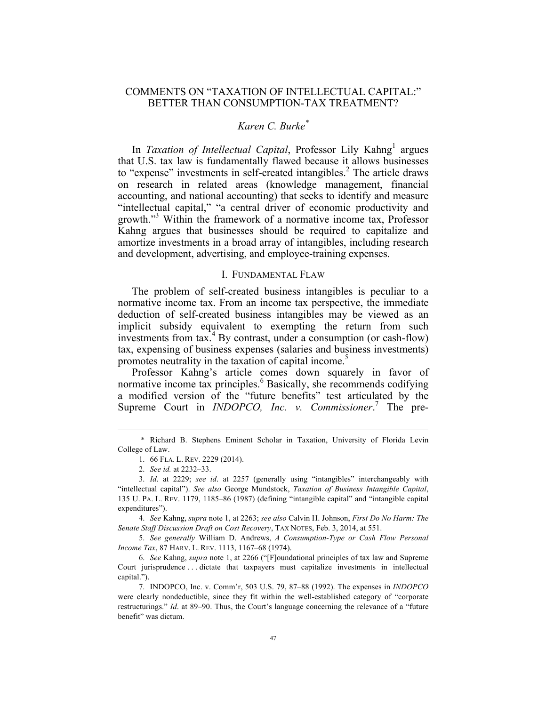# COMMENTS ON "TAXATION OF INTELLECTUAL CAPITAL:" BETTER THAN CONSUMPTION-TAX TREATMENT?

## *Karen C. Burke\**

In *Taxation of Intellectual Capital*, Professor Lily Kahng<sup>1</sup> argues that U.S. tax law is fundamentally flawed because it allows businesses to "expense" investments in self-created intangibles.<sup>2</sup> The article draws on research in related areas (knowledge management, financial accounting, and national accounting) that seeks to identify and measure "intellectual capital," "a central driver of economic productivity and growth." <sup>3</sup> Within the framework of a normative income tax, Professor Kahng argues that businesses should be required to capitalize and amortize investments in a broad array of intangibles, including research and development, advertising, and employee-training expenses.

## I. FUNDAMENTAL FLAW

The problem of self-created business intangibles is peculiar to a normative income tax. From an income tax perspective, the immediate deduction of self-created business intangibles may be viewed as an implicit subsidy equivalent to exempting the return from such investments from  $tax<sup>4</sup>$  By contrast, under a consumption (or cash-flow) tax, expensing of business expenses (salaries and business investments) promotes neutrality in the taxation of capital income.<sup>5</sup>

Professor Kahng's article comes down squarely in favor of normative income tax principles.<sup>6</sup> Basically, she recommends codifying a modified version of the "future benefits" test articulated by the Supreme Court in *INDOPCO*, *Inc. v. Commissioner.*<sup>7</sup> The pre-

4. *See* Kahng, *supra* note 1, at 2263; *see also* Calvin H. Johnson, *First Do No Harm: The Senate Staff Discussion Draft on Cost Recovery*, TAX NOTES, Feb. 3, 2014, at 551.

5. *See generally* William D. Andrews, *A Consumption-Type or Cash Flow Personal Income Tax*, 87 HARV. L. REV. 1113, 1167–68 (1974).

6. *See* Kahng, *supra* note 1, at 2266 ("[F]oundational principles of tax law and Supreme Court jurisprudence . . . dictate that taxpayers must capitalize investments in intellectual capital.").

7. INDOPCO, Inc. v. Comm'r, 503 U.S. 79, 87–88 (1992). The expenses in *INDOPCO* were clearly nondeductible, since they fit within the well-established category of "corporate restructurings." *Id*. at 89–90. Thus, the Court's language concerning the relevance of a "future benefit" was dictum.

 <sup>\*</sup> Richard B. Stephens Eminent Scholar in Taxation, University of Florida Levin College of Law.

<sup>1.</sup> 66 FLA. L. REV. 2229 (2014).

<sup>2.</sup> *See id.* at 2232–33.

<sup>3.</sup> *Id*. at 2229; *see id*. at 2257 (generally using "intangibles" interchangeably with "intellectual capital"). *See also* George Mundstock, *Taxation of Business Intangible Capital*, 135 U. PA. L. REV. 1179, 1185–86 (1987) (defining "intangible capital" and "intangible capital expenditures").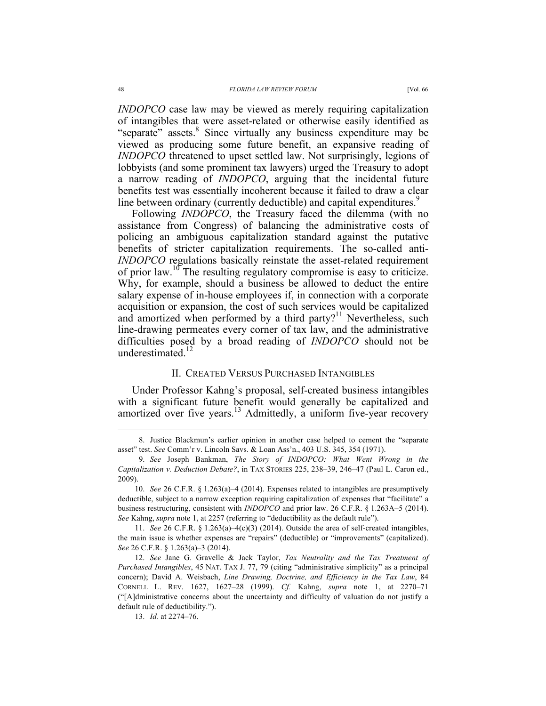*INDOPCO* case law may be viewed as merely requiring capitalization of intangibles that were asset-related or otherwise easily identified as "separate" assets.<sup>8</sup> Since virtually any business expenditure may be viewed as producing some future benefit, an expansive reading of *INDOPCO* threatened to upset settled law. Not surprisingly, legions of lobbyists (and some prominent tax lawyers) urged the Treasury to adopt a narrow reading of *INDOPCO*, arguing that the incidental future benefits test was essentially incoherent because it failed to draw a clear line between ordinary (currently deductible) and capital expenditures.<sup>9</sup>

Following *INDOPCO*, the Treasury faced the dilemma (with no assistance from Congress) of balancing the administrative costs of policing an ambiguous capitalization standard against the putative benefits of stricter capitalization requirements. The so-called anti-*INDOPCO* regulations basically reinstate the asset-related requirement of prior law.<sup>10</sup> The resulting regulatory compromise is easy to criticize. Why, for example, should a business be allowed to deduct the entire salary expense of in-house employees if, in connection with a corporate acquisition or expansion, the cost of such services would be capitalized and amortized when performed by a third party?<sup>11</sup> Nevertheless, such line-drawing permeates every corner of tax law, and the administrative difficulties posed by a broad reading of *INDOPCO* should not be underestimated.<sup>12</sup>

### II. CREATED VERSUS PURCHASED INTANGIBLES

Under Professor Kahng's proposal, self-created business intangibles with a significant future benefit would generally be capitalized and amortized over five years.<sup>13</sup> Admittedly, a uniform five-year recovery

11. *See* 26 C.F.R. § 1.263(a)–4(c)(3) (2014). Outside the area of self-created intangibles, the main issue is whether expenses are "repairs" (deductible) or "improvements" (capitalized). *See* 26 C.F.R. § 1.263(a)–3 (2014).

13. *Id.* at 2274–76.

 <sup>8.</sup> Justice Blackmun's earlier opinion in another case helped to cement the "separate asset" test. *See* Comm'r v. Lincoln Savs. & Loan Ass'n., 403 U.S. 345, 354 (1971).

<sup>9.</sup> *See* Joseph Bankman, *The Story of INDOPCO: What Went Wrong in the Capitalization v. Deduction Debate?*, in TAX STORIES 225, 238–39, 246–47 (Paul L. Caron ed., 2009).

<sup>10.</sup> *See* 26 C.F.R. § 1.263(a)–4 (2014). Expenses related to intangibles are presumptively deductible, subject to a narrow exception requiring capitalization of expenses that "facilitate" a business restructuring, consistent with *INDOPCO* and prior law. 26 C.F.R. § 1.263A–5 (2014). *See* Kahng, *supra* note 1, at 2257 (referring to "deductibility as the default rule").

<sup>12.</sup> *See* Jane G. Gravelle & Jack Taylor, *Tax Neutrality and the Tax Treatment of Purchased Intangibles*, 45 NAT. TAX J. 77, 79 (citing "administrative simplicity" as a principal concern); David A. Weisbach, *Line Drawing, Doctrine, and Efficiency in the Tax Law*, 84 CORNELL L. REV. 1627, 1627–28 (1999). *Cf.* Kahng, *supra* note 1, at 2270–71 ("[A]dministrative concerns about the uncertainty and difficulty of valuation do not justify a default rule of deductibility.").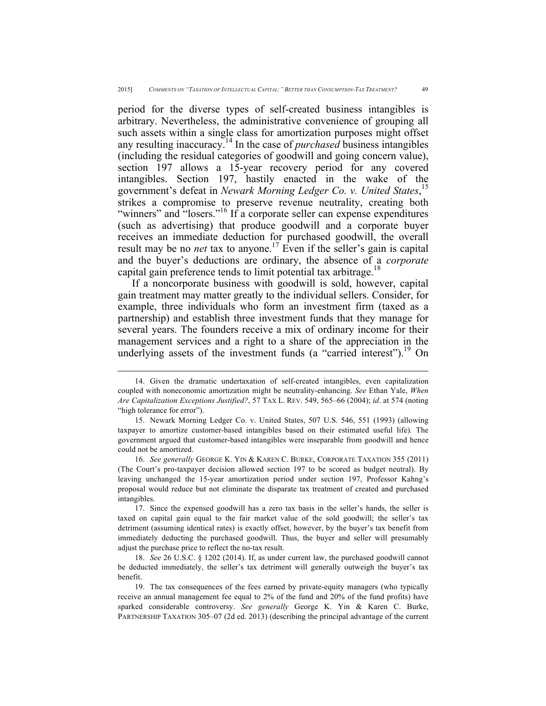period for the diverse types of self-created business intangibles is arbitrary. Nevertheless, the administrative convenience of grouping all such assets within a single class for amortization purposes might offset any resulting inaccuracy.<sup>14</sup> In the case of *purchased* business intangibles (including the residual categories of goodwill and going concern value), section 197 allows a 15-year recovery period for any covered intangibles. Section 197, hastily enacted in the wake of the government's defeat in *Newark Morning Ledger Co. v. United States*, 15 strikes a compromise to preserve revenue neutrality, creating both "winners" and "losers."<sup>16</sup> If a corporate seller can expense expenditures (such as advertising) that produce goodwill and a corporate buyer receives an immediate deduction for purchased goodwill, the overall result may be no *net* tax to anyone.<sup>17</sup> Even if the seller's gain is capital and the buyer's deductions are ordinary, the absence of a *corporate* capital gain preference tends to limit potential tax arbitrage.<sup>18</sup>

If a noncorporate business with goodwill is sold, however, capital gain treatment may matter greatly to the individual sellers. Consider, for example, three individuals who form an investment firm (taxed as a partnership) and establish three investment funds that they manage for several years. The founders receive a mix of ordinary income for their management services and a right to a share of the appreciation in the underlying assets of the investment funds (a "carried interest").<sup>19</sup> On

17. Since the expensed goodwill has a zero tax basis in the seller's hands, the seller is taxed on capital gain equal to the fair market value of the sold goodwill; the seller's tax detriment (assuming identical rates) is exactly offset, however, by the buyer's tax benefit from immediately deducting the purchased goodwill. Thus, the buyer and seller will presumably adjust the purchase price to reflect the no-tax result.

18. *See* 26 U.S.C. § 1202 (2014). If, as under current law, the purchased goodwill cannot be deducted immediately, the seller's tax detriment will generally outweigh the buyer's tax benefit.

19. The tax consequences of the fees earned by private-equity managers (who typically receive an annual management fee equal to 2% of the fund and 20% of the fund profits) have sparked considerable controversy. *See generally* George K. Yin & Karen C. Burke, PARTNERSHIP TAXATION 305–07 (2d ed. 2013) (describing the principal advantage of the current

 <sup>14.</sup> Given the dramatic undertaxation of self-created intangibles, even capitalization coupled with noneconomic amortization might be neutrality-enhancing. *See* Ethan Yale, *When Are Capitalization Exceptions Justified?*, 57 TAX L. REV. 549, 565–66 (2004); *id*. at 574 (noting "high tolerance for error").

<sup>15.</sup> Newark Morning Ledger Co. v. United States, 507 U.S. 546, 551 (1993) (allowing taxpayer to amortize customer-based intangibles based on their estimated useful life)*.* The government argued that customer-based intangibles were inseparable from goodwill and hence could not be amortized.

<sup>16.</sup> *See generally* GEORGE K. YIN & KAREN C. BURKE, CORPORATE TAXATION 355 (2011) (The Court's pro-taxpayer decision allowed section 197 to be scored as budget neutral). By leaving unchanged the 15-year amortization period under section 197, Professor Kahng's proposal would reduce but not eliminate the disparate tax treatment of created and purchased intangibles.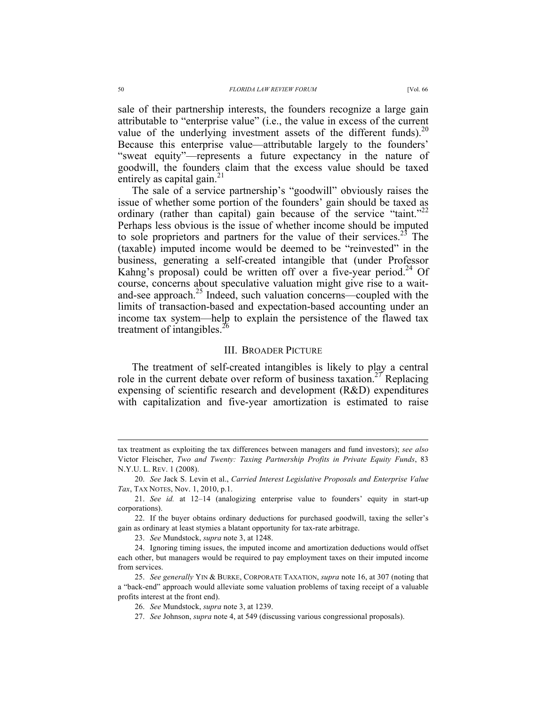sale of their partnership interests, the founders recognize a large gain attributable to "enterprise value" (i.e., the value in excess of the current value of the underlying investment assets of the different funds). $^{20}$ Because this enterprise value—attributable largely to the founders' "sweat equity"—represents a future expectancy in the nature of goodwill, the founders claim that the excess value should be taxed entirely as capital gain. $^{21}$ 

The sale of a service partnership's "goodwill" obviously raises the issue of whether some portion of the founders' gain should be taxed as ordinary (rather than capital) gain because of the service "taint."<sup>22</sup> Perhaps less obvious is the issue of whether income should be imputed to sole proprietors and partners for the value of their services.<sup>23</sup> The (taxable) imputed income would be deemed to be "reinvested" in the business, generating a self-created intangible that (under Professor Kahng's proposal) could be written off over a five-year period.<sup>24</sup> Of course, concerns about speculative valuation might give rise to a waitand-see approach.<sup>25</sup> Indeed, such valuation concerns—coupled with the limits of transaction-based and expectation-based accounting under an income tax system—help to explain the persistence of the flawed tax treatment of intangibles.<sup>26</sup>

### III. BROADER PICTURE

The treatment of self-created intangibles is likely to play a central role in the current debate over reform of business taxation.<sup>27</sup> Replacing expensing of scientific research and development (R&D) expenditures with capitalization and five-year amortization is estimated to raise

tax treatment as exploiting the tax differences between managers and fund investors); *see also* Victor Fleischer, *Two and Twenty: Taxing Partnership Profits in Private Equity Funds*, 83 N.Y.U. L. REV. 1 (2008).

<sup>20.</sup> *See* Jack S. Levin et al., *Carried Interest Legislative Proposals and Enterprise Value Tax*, TAX NOTES, Nov. 1, 2010, p.1.

<sup>21.</sup> *See id.* at 12–14 (analogizing enterprise value to founders' equity in start-up corporations).

<sup>22.</sup> If the buyer obtains ordinary deductions for purchased goodwill, taxing the seller's gain as ordinary at least stymies a blatant opportunity for tax-rate arbitrage.

<sup>23.</sup> *See* Mundstock, *supra* note 3, at 1248.

<sup>24.</sup> Ignoring timing issues, the imputed income and amortization deductions would offset each other, but managers would be required to pay employment taxes on their imputed income from services.

<sup>25.</sup> *See generally* YIN & BURKE, CORPORATE TAXATION, *supra* note 16, at 307 (noting that a "back-end" approach would alleviate some valuation problems of taxing receipt of a valuable profits interest at the front end).

<sup>26.</sup> *See* Mundstock, *supra* note 3, at 1239.

<sup>27.</sup> *See* Johnson, *supra* note 4, at 549 (discussing various congressional proposals).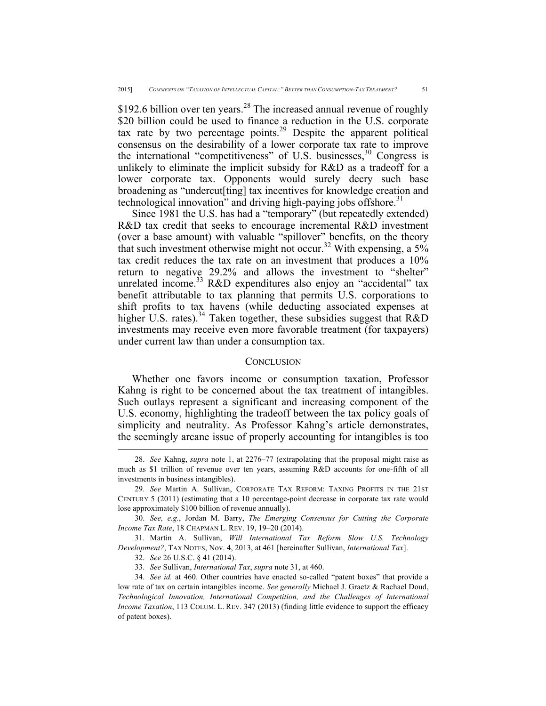\$192.6 billion over ten years.<sup>28</sup> The increased annual revenue of roughly \$20 billion could be used to finance a reduction in the U.S. corporate tax rate by two percentage points.<sup>29</sup> Despite the apparent political consensus on the desirability of a lower corporate tax rate to improve the international "competitiveness" of U.S. businesses,  $30$  Congress is unlikely to eliminate the implicit subsidy for R&D as a tradeoff for a lower corporate tax. Opponents would surely decry such base broadening as "undercut[ting] tax incentives for knowledge creation and technological innovation" and driving high-paying jobs offshore.<sup>31</sup>

Since 1981 the U.S. has had a "temporary" (but repeatedly extended) R&D tax credit that seeks to encourage incremental R&D investment (over a base amount) with valuable "spillover" benefits, on the theory that such investment otherwise might not occur.<sup>32</sup> With expensing, a 5% tax credit reduces the tax rate on an investment that produces a 10% return to negative 29.2% and allows the investment to "shelter" unrelated income.<sup>33</sup> R&D expenditures also enjoy an "accidental" tax benefit attributable to tax planning that permits U.S. corporations to shift profits to tax havens (while deducting associated expenses at higher U.S. rates).<sup>34</sup> Taken together, these subsidies suggest that  $R&D$ investments may receive even more favorable treatment (for taxpayers) under current law than under a consumption tax.

### **CONCLUSION**

Whether one favors income or consumption taxation, Professor Kahng is right to be concerned about the tax treatment of intangibles. Such outlays represent a significant and increasing component of the U.S. economy, highlighting the tradeoff between the tax policy goals of simplicity and neutrality. As Professor Kahng's article demonstrates, the seemingly arcane issue of properly accounting for intangibles is too

 <sup>28.</sup> *See* Kahng, *supra* note 1, at 2276–77 (extrapolating that the proposal might raise as much as \$1 trillion of revenue over ten years, assuming R&D accounts for one-fifth of all investments in business intangibles).

<sup>29.</sup> *See* Martin A. Sullivan, CORPORATE TAX REFORM: TAXING PROFITS IN THE 21ST CENTURY 5 (2011) (estimating that a 10 percentage-point decrease in corporate tax rate would lose approximately \$100 billion of revenue annually).

<sup>30.</sup> *See, e.g.*, Jordan M. Barry, *The Emerging Consensus for Cutting the Corporate Income Tax Rate*, 18 CHAPMAN L. REV. 19, 19–20 (2014).

<sup>31.</sup> Martin A. Sullivan, *Will International Tax Reform Slow U.S. Technology Development?*, TAX NOTES, Nov. 4, 2013, at 461 [hereinafter Sullivan, *International Tax*].

<sup>32.</sup> *See* 26 U.S.C. § 41 (2014).

<sup>33.</sup> *See* Sullivan, *International Tax*, *supra* note 31, at 460.

<sup>34.</sup> *See id.* at 460. Other countries have enacted so-called "patent boxes" that provide a low rate of tax on certain intangibles income. *See generally* Michael J. Graetz & Rachael Doud, *Technological Innovation, International Competition, and the Challenges of International Income Taxation*, 113 COLUM. L. REV. 347 (2013) (finding little evidence to support the efficacy of patent boxes).